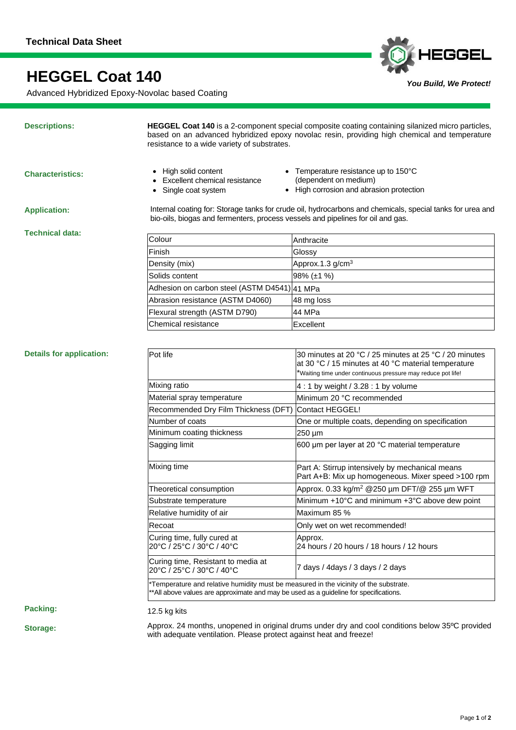# **HEGGEL Coat 140**

Advanced Hybridized Epoxy-Novolac based Coating

## **Descriptions:**

**HEGGEL Coat 140** is a 2-component special composite coating containing silanized micro particles, based on an advanced hybridized epoxy novolac resin, providing high chemical and temperature resistance to a wide variety of substrates.

**Characteristics:**

- High solid content
- **Excellent chemical resistance**
- Single coat system
- Temperature resistance up to 150°C (dependent on medium)

*You Build, We Protect!*

HEGGEL

• High corrosion and abrasion protection

**Application:**

Internal coating for: Storage tanks for crude oil, hydrocarbons and chemicals, special tanks for urea and bio-oils, biogas and fermenters, process vessels and pipelines for oil and gas.

**Technical data:**

| Colour                                       | Anthracite                   |
|----------------------------------------------|------------------------------|
| Finish                                       | Glossy                       |
| Density (mix)                                | Approx.1.3 g/cm <sup>3</sup> |
| Solids content                               | $98\%$ ( $\pm$ 1 %)          |
| Adhesion on carbon steel (ASTM D4541) 41 MPa |                              |
| Abrasion resistance (ASTM D4060)             | 48 mg loss                   |
| Flexural strength (ASTM D790)                | 44 MPa                       |
| Chemical resistance                          | Excellent                    |

# **Details for application:**

| Pot life                                                                                                                                                                       | 30 minutes at 20 °C / 25 minutes at 25 °C / 20 minutes<br>at 30 °C / 15 minutes at 40 °C material temperature<br>*Waiting time under continuous pressure may reduce pot life! |
|--------------------------------------------------------------------------------------------------------------------------------------------------------------------------------|-------------------------------------------------------------------------------------------------------------------------------------------------------------------------------|
| Mixing ratio                                                                                                                                                                   | 4 : 1 by weight $/$ 3.28 : 1 by volume                                                                                                                                        |
| Material spray temperature                                                                                                                                                     | Minimum 20 °C recommended                                                                                                                                                     |
| Recommended Dry Film Thickness (DFT)                                                                                                                                           | Contact HEGGEL!                                                                                                                                                               |
| Number of coats                                                                                                                                                                | One or multiple coats, depending on specification                                                                                                                             |
| Minimum coating thickness                                                                                                                                                      | $250 \mu m$                                                                                                                                                                   |
| Sagging limit                                                                                                                                                                  | 600 µm per layer at 20 °C material temperature                                                                                                                                |
| Mixing time                                                                                                                                                                    | Part A: Stirrup intensively by mechanical means<br>Part A+B: Mix up homogeneous. Mixer speed >100 rpm                                                                         |
| Theoretical consumption                                                                                                                                                        | Approx. 0.33 kg/m <sup>2</sup> @250 um DFT/@ 255 um WFT                                                                                                                       |
| Substrate temperature                                                                                                                                                          | Minimum +10°C and minimum +3°C above dew point                                                                                                                                |
| Relative humidity of air                                                                                                                                                       | Maximum 85 %                                                                                                                                                                  |
| Recoat                                                                                                                                                                         | Only wet on wet recommended!                                                                                                                                                  |
| Curing time, fully cured at<br>20°C / 25°C / 30°C / 40°C                                                                                                                       | Approx.<br>24 hours / 20 hours / 18 hours / 12 hours                                                                                                                          |
| Curing time, Resistant to media at<br>20°C / 25°C / 30°C / 40°C                                                                                                                | 7 days / 4days / 3 days / 2 days                                                                                                                                              |
| *Temperature and relative humidity must be measured in the vicinity of the substrate.<br>**All above values are approximate and may be used as a guideline for specifications. |                                                                                                                                                                               |

**Packing:** 

12.5 kg kits

**Storage:**

Approx. 24 months, unopened in original drums under dry and cool conditions below 35ºC provided with adequate ventilation. Please protect against heat and freeze!